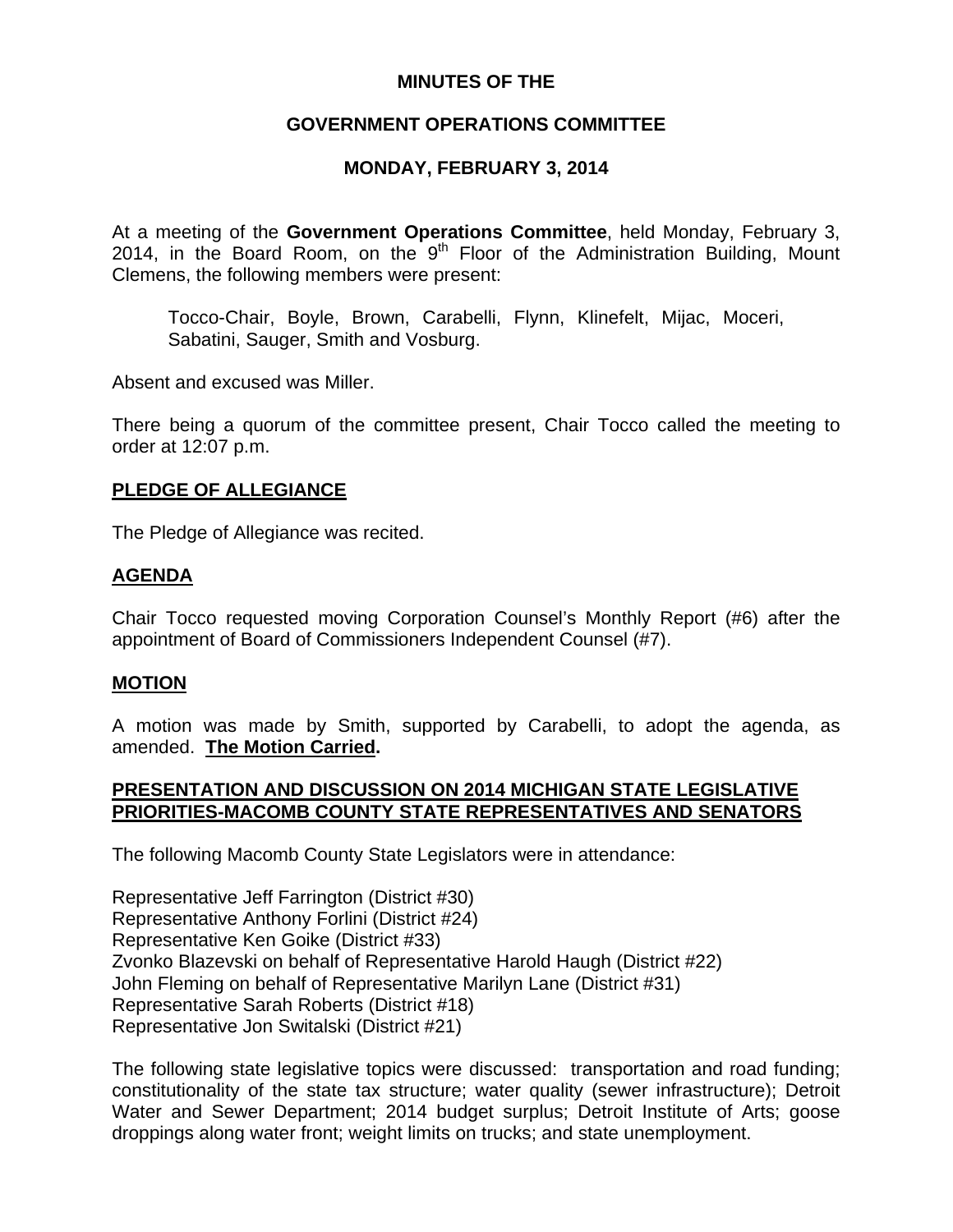## **MINUTES OF THE**

## **GOVERNMENT OPERATIONS COMMITTEE**

## **MONDAY, FEBRUARY 3, 2014**

At a meeting of the **Government Operations Committee**, held Monday, February 3, 2014, in the Board Room, on the  $9<sup>th</sup>$  Floor of the Administration Building, Mount Clemens, the following members were present:

Tocco-Chair, Boyle, Brown, Carabelli, Flynn, Klinefelt, Mijac, Moceri, Sabatini, Sauger, Smith and Vosburg.

Absent and excused was Miller.

There being a quorum of the committee present, Chair Tocco called the meeting to order at 12:07 p.m.

#### **PLEDGE OF ALLEGIANCE**

The Pledge of Allegiance was recited.

### **AGENDA**

Chair Tocco requested moving Corporation Counsel's Monthly Report (#6) after the appointment of Board of Commissioners Independent Counsel (#7).

### **MOTION**

A motion was made by Smith, supported by Carabelli, to adopt the agenda, as amended. **The Motion Carried.** 

### **PRESENTATION AND DISCUSSION ON 2014 MICHIGAN STATE LEGISLATIVE PRIORITIES-MACOMB COUNTY STATE REPRESENTATIVES AND SENATORS**

The following Macomb County State Legislators were in attendance:

Representative Jeff Farrington (District #30) Representative Anthony Forlini (District #24) Representative Ken Goike (District #33) Zvonko Blazevski on behalf of Representative Harold Haugh (District #22) John Fleming on behalf of Representative Marilyn Lane (District #31) Representative Sarah Roberts (District #18) Representative Jon Switalski (District #21)

The following state legislative topics were discussed: transportation and road funding; constitutionality of the state tax structure; water quality (sewer infrastructure); Detroit Water and Sewer Department; 2014 budget surplus; Detroit Institute of Arts; goose droppings along water front; weight limits on trucks; and state unemployment.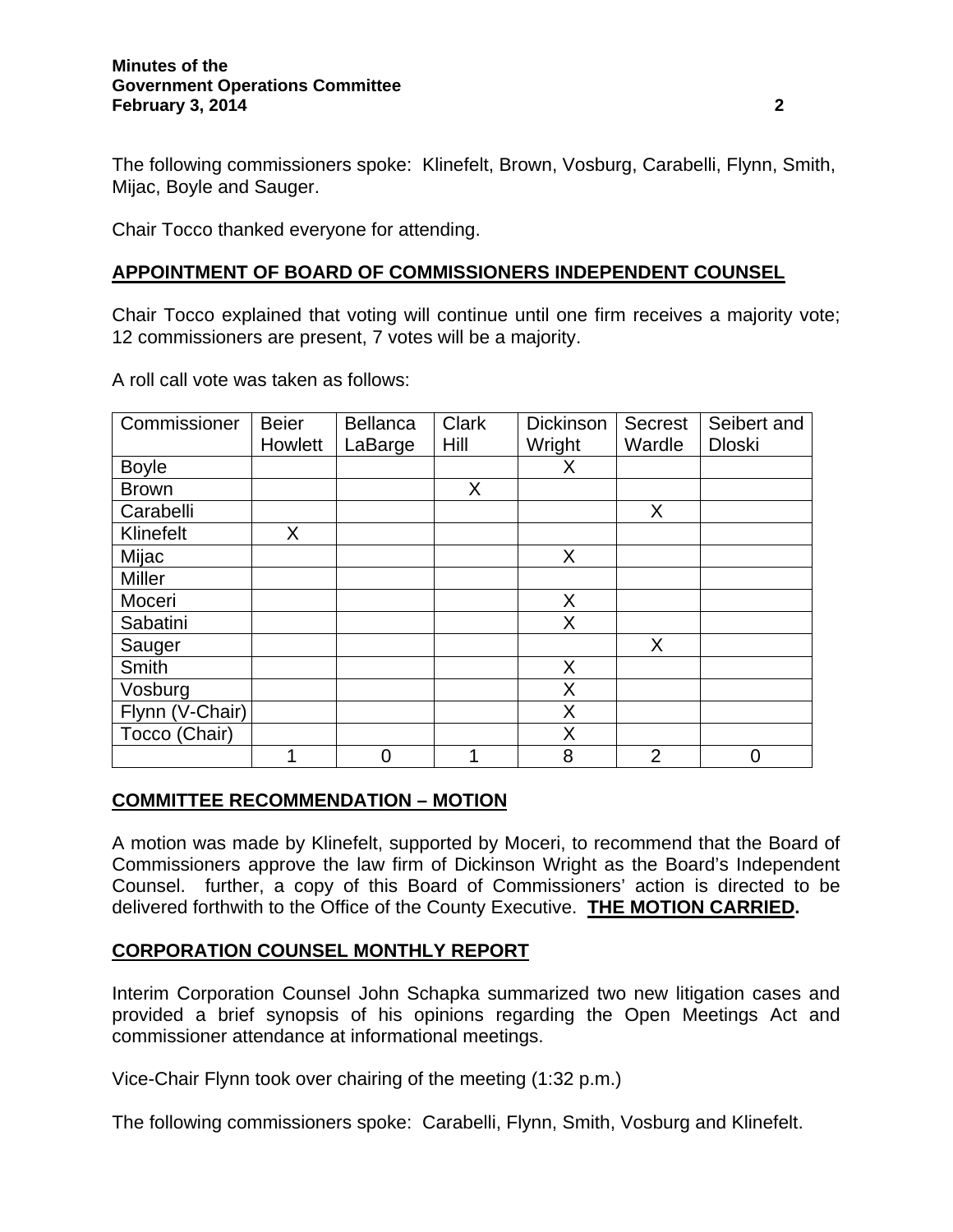#### **Minutes of the Government Operations Committee February 3, 2014** 2 **2**

The following commissioners spoke: Klinefelt, Brown, Vosburg, Carabelli, Flynn, Smith, Mijac, Boyle and Sauger.

Chair Tocco thanked everyone for attending.

## **APPOINTMENT OF BOARD OF COMMISSIONERS INDEPENDENT COUNSEL**

Chair Tocco explained that voting will continue until one firm receives a majority vote; 12 commissioners are present, 7 votes will be a majority.

A roll call vote was taken as follows:

| Commissioner    | <b>Beier</b> | <b>Bellanca</b> | <b>Clark</b> | <b>Dickinson</b> | <b>Secrest</b> | Seibert and   |
|-----------------|--------------|-----------------|--------------|------------------|----------------|---------------|
|                 | Howlett      | LaBarge         | Hill         | Wright           | Wardle         | <b>Dloski</b> |
| <b>Boyle</b>    |              |                 |              | х                |                |               |
| <b>Brown</b>    |              |                 | $\mathsf{X}$ |                  |                |               |
| Carabelli       |              |                 |              |                  | X              |               |
| Klinefelt       | X.           |                 |              |                  |                |               |
| Mijac           |              |                 |              | X                |                |               |
| <b>Miller</b>   |              |                 |              |                  |                |               |
| Moceri          |              |                 |              | X                |                |               |
| Sabatini        |              |                 |              | X                |                |               |
| Sauger          |              |                 |              |                  | X              |               |
| Smith           |              |                 |              | X                |                |               |
| Vosburg         |              |                 |              | X                |                |               |
| Flynn (V-Chair) |              |                 |              | X                |                |               |
| Tocco (Chair)   |              |                 |              | X                |                |               |
|                 |              | 0               | 1            | 8                | $\overline{2}$ | 0             |

### **COMMITTEE RECOMMENDATION – MOTION**

A motion was made by Klinefelt, supported by Moceri, to recommend that the Board of Commissioners approve the law firm of Dickinson Wright as the Board's Independent Counsel. further, a copy of this Board of Commissioners' action is directed to be delivered forthwith to the Office of the County Executive. **THE MOTION CARRIED.**

## **CORPORATION COUNSEL MONTHLY REPORT**

Interim Corporation Counsel John Schapka summarized two new litigation cases and provided a brief synopsis of his opinions regarding the Open Meetings Act and commissioner attendance at informational meetings.

Vice-Chair Flynn took over chairing of the meeting (1:32 p.m.)

The following commissioners spoke: Carabelli, Flynn, Smith, Vosburg and Klinefelt.